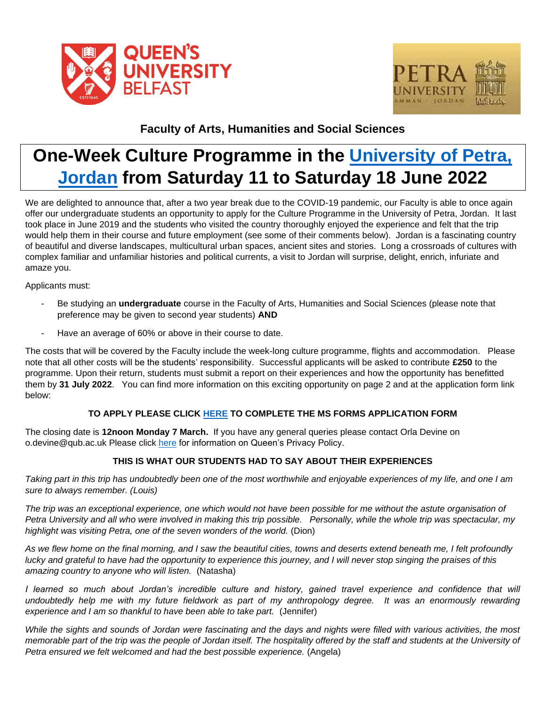



## **Faculty of Arts, Humanities and Social Sciences**

# **One-Week Culture Programme in the [University of Petra,](https://www.uop.edu.jo/En/Pages/default.aspx)  [Jordan](https://www.uop.edu.jo/En/Pages/default.aspx) from Saturday 11 to Saturday 18 June 2022**

We are delighted to announce that, after a two year break due to the COVID-19 pandemic, our Faculty is able to once again offer our undergraduate students an opportunity to apply for the Culture Programme in the University of Petra, Jordan. It last took place in June 2019 and the students who visited the country thoroughly enjoyed the experience and felt that the trip would help them in their course and future employment (see some of their comments below). Jordan is a fascinating country of beautiful and diverse landscapes, multicultural urban spaces, ancient sites and stories. Long a crossroads of cultures with complex familiar and unfamiliar histories and political currents, a visit to Jordan will surprise, delight, enrich, infuriate and amaze you.

Applicants must:

- Be studying an **undergraduate** course in the Faculty of Arts, Humanities and Social Sciences (please note that preference may be given to second year students) **AND**
- Have an average of 60% or above in their course to date.

The costs that will be covered by the Faculty include the week-long culture programme, flights and accommodation. Please note that all other costs will be the students' responsibility. Successful applicants will be asked to contribute **£250** to the programme. Upon their return, students must submit a report on their experiences and how the opportunity has benefitted them by **31 July 2022**. You can find more information on this exciting opportunity on page 2 and at the application form link below:

#### **TO APPLY PLEASE CLICK [HERE](https://forms.office.com/r/sC8x94z7RC) TO COMPLETE THE MS FORMS APPLICATION FORM**

The closing date is **12noon Monday 7 March.** If you have any general queries please contact Orla Devine on o.devine@qub.ac.uk Please click [here](https://www.qub.ac.uk/privacynotice/) for information on Queen's Privacy Policy.

#### **THIS IS WHAT OUR STUDENTS HAD TO SAY ABOUT THEIR EXPERIENCES**

*Taking part in this trip has undoubtedly been one of the most worthwhile and enjoyable experiences of my life, and one I am sure to always remember. (Louis)*

*The trip was an exceptional experience, one which would not have been possible for me without the astute organisation of Petra University and all who were involved in making this trip possible. Personally, while the whole trip was spectacular, my highlight was visiting Petra, one of the seven wonders of the world.* (Dion)

*As we flew home on the final morning, and I saw the beautiful cities, towns and deserts extend beneath me, I felt profoundly lucky and grateful to have had the opportunity to experience this journey, and I will never stop singing the praises of this amazing country to anyone who will listen.* (Natasha)

*I learned so much about Jordan's incredible culture and history, gained travel experience and confidence that will undoubtedly help me with my future fieldwork as part of my anthropology degree. It was an enormously rewarding experience and I am so thankful to have been able to take part.* (Jennifer)

*While the sights and sounds of Jordan were fascinating and the days and nights were filled with various activities, the most memorable part of the trip was the people of Jordan itself. The hospitality offered by the staff and students at the University of Petra ensured we felt welcomed and had the best possible experience.* (Angela)